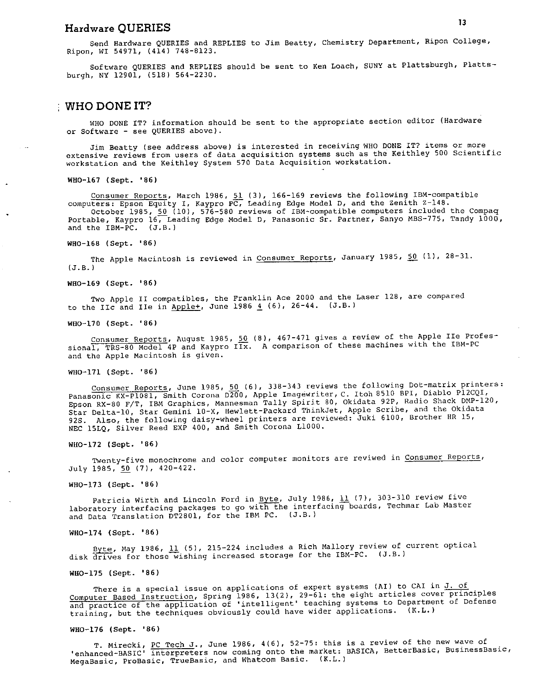# Hardware QUERIES **13**

Send Hardware QUERIES and REPLIES to Jim Beatty, Chemistry Department, Ripon College, Ripon, WI 54971, (414) 748-8123.

Software QUERIES and REPLIES should be sent to Ken Loach, SUNY at Plattsburgh, Plattsburgh, NY 12901, (518) 564-2230.

#### WHO DONE IT?

WHO DONE IT? information should be sent to the appropriate section editor (Hardware or Software- see QUERIES above).

Jim Beatty (see address above) is interested in receiving WHO DONE IT? items or more extensive reviews from users of data acquisition systems such as the Keithley 500 Scientific workstation and the Keithley System 570 Data Acquisition workstation.

WH0-167 (Sept. '86)

Consumer Reports, March 1986, 51 (3), 166-169 reviews the following IBM-compatible computers: Epson Equity I, Kaypro PC, Leading Edge Model D, and the Zenith Z-148. October 1985,  $50$  (10), 576-580 reviews of IBM-compatible computers included the Compaq Portable, Kaypro 16, Leading Edge Model D, Panasonic Sr. Partner, Sanyo MBS-775, Tandy 1000, and the IBM-PC. (J.B.)

WH0-168 (Sept. '86)

The Apple Macintosh is reviewed in Consumer Reports, January 1985, 50 (1), 28-31. (J.8.)

WB0-169 (Sept. '86)

Two Apple II compatibles, the Franklin Ace 2000 and the Laser 128, are compare<sup>d</sup> to the IIc and IIe in Apple+, June 1986  $\frac{4}{5}$  (6), 26-44. (J.B.)

WB0-170 (Sept. '86)

Consumer Reports, August 1985, 50 (8), 467-471 gives a review of the Apple IIe Professional, TRS-80 Model 4P and Kaypro IIx. A comparison of these machines with the IBM-PC and the Apple Macintosh is given.

WH0-171 (Sept. '86)

Consumer Reports, June 1985,  $50$  (6), 338-343 reviews the following Dot-matrix printers: Panasonic KX-Pl08l, Smith Corona 0200, Apple Imagewriter, C. Itoh 8510 BPI, Diablo Pl2CQI, Epson RX-80 F/T, IBM Graphics, Mannesman Tally Spirit 80, Okidata 92P, Radio Shack DMP-120, Star Delta-10, Star Gemini 10-X, Hewlett-Packard ThinkJet, Apple Scribe, and the Okidata 925. Also, the following daisy-wheel printers are reviewed: Juki 6100, Brother HR 15, NEC 15LQ, Silver Reed EXP 400, and Smith Corona LlOOO.

WH0-172 (Sept. '86)

Twenty-five monochrome and color computer monitors are reviwed in Consumer Reports, July 1985, 50 (7), 420-422.

WH0-173 (Sept. '86)

Patricia Wirth and Lincoln Ford in Byte, July 1986,  $\underline{11}$  (7), 303-310 review five laboratory interfacing packages to go with the interfacing boards, Techmar Lab Master and Data Translation DT2801, for the IBM PC. (J.B.)

WH0-174 (Sept. '86)

Byte, May 1986, 11 (5), 215-224 includes a Rich Mallory review of current optical disk drives for those wishing increased storage for the IBM-PC. (J.B.)

WH0-175 (Sept. '86)

There is a special issue on applications of expert systems (AI) to CAI in  $\underline{J.}$  of Computer Based Instruction, Spring 1986, 13(2), 29-61: the eight articles cover principles computer Bubba interestent, Franch and the ligent' teaching systems to Department of Defense training, but the techniques obviously could have wider applications. (K.L.)

#### WH0-176 (Sept. '86)

T. Mirecki, PC Tech J., June 1986, 4(6), 52-75: this is a review of the new wave of 'enhanced-BASIC' interpreters now coming onto the market: BASICA, BetterBasic, BusinessBasic, MegaBasic, ProBasic, TrueBasic, and Whatcom Basic. (K.L.)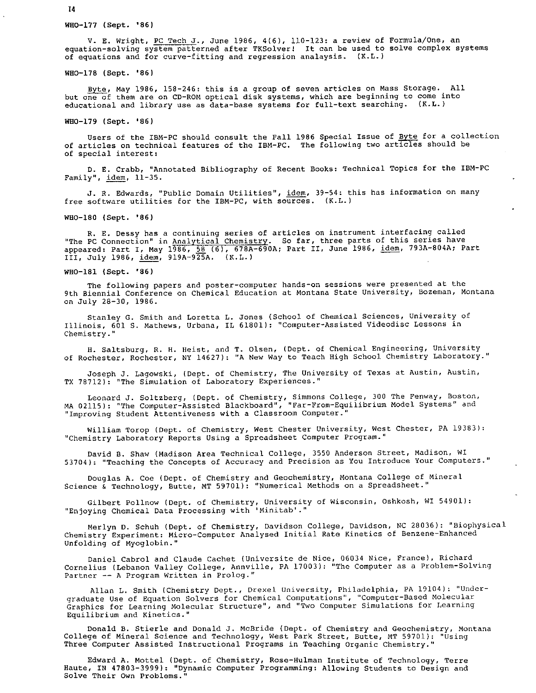WH0-177 (Sept. '86)

V. E. Wright, PC Tech J., June 1986, 4(6), 110-123: a review of Formula/One, an equation-solving system patterned after TKSolver! It can be used to solve complex systems of equations and for curve-fitting and regression analaysis. (K.L.)

WH0-178 (Sept. '86)

Byte, May 1986, 158-246: this is a group of seven articles on Mass Storage. All but one of them are on CD-ROM optical disk systems, which are beginning to come into educational and library use as data-base systems for full-text searching. (K.L.)

WH0-179 (Sept. '86)

Users of the IBM-PC should consult the Fall 1986 Special Issue of Byte for a collection of articles on technical features of the IBM-PC. The following two articles should be of special interest:

D. E. Crabb, "Annotated Bibliography of Recent Books: Technical Topics for the IBM-PC Family", idem, 11-35.

J. R. Edwards, "Public Domain Utilities", idem, 39-54: this has information on many free software utilities for the IBM-PC, with sources. (K.L.)

WB0-180 (Sept. '86)

R. E. Dessy has a continuing series of articles on instrument interfacing called 'The PC Connection" in Analytical Chemistry. So far, three parts of this series have appeared: Part I, May 1986, <u>58</u> (6), 678A-690A; Part II, June 1986, <u>idem</u>, 793A-804A; Part III, July 1986, idem, 919A-9EA. (K.L.) --

WH0-181 (Sept. '86)

The following papers and poster-computer hands-on sessions were presented at the 9th Biennial Conference on Chemical Education at Montana State University, Bozeman, Montana on July 28-30, 1986.

Stanley G. Smith and Loretta L. Jones (School of Chemical Sciences, University of Illinois, 601 S. Mathews, Urbana, IL 61801): "Computer-Assisted Videodisc Lessons in Chemistry."

H. Saltsburg, R. H. Heist, and T. Olsen, (Dept. of Chemical Engineering, University of Rochester, Rochester, NY 14627): "A New Way to Teach High School Chemistry Laboratory."

Joseph J. Lagowski, (Dept. of Chemistry, The University of Texas at Austin, Austin, TX 78712): "The Simulation of Laboratory Experiences."

Leonard J. Soltzberg, (Dept. of Chemistry, Simmons College, 300 The Fenway, Boston, MA 02115): "The Computer-Assisted Blackboard", "Far-From-Equilibrium Model Systems" and "Improving Student Attentiveness with a Classroom Computer."

William Torop (Dept. of Chemistry, West Chester University, West Chester, PA 19383): "Chemistry Laboratory Reports Using a Spreadsheet Computer Program."

David B. Shaw (Madison Area Technical College, 3550 Anderson Street, Madison, WI 53704): "Teaching the Concepts of Accuracy and Precision as You Introduce Your Computers."

Douglas A. Coe (Dept. of Chemistry and Geochemistry, Montana College of Mineral Science & Technology, Butte, MT 59701): "Numerical Methods on a Spreadsheet."

Gilbert Pollnow (Dept. of Chemistry, University of Wisconsin, Oshkosh, WI 54901): "Enjoying Chemical Data Processing with 'Minitab'."

Merlyn D. Schuh (Dept. of Chemistry, Davidson College, Davidson, NC 28036): "Biophysical Chemistry Experiment: Micro-Computer Analysed Initial Rate Kinetics of Benzene-Enhanced Unfolding of Myoglobin."

Daniel Cabrol and Claude Cachet (Universite de Nice, 06034 Nice, France), Richard Cornelius (Lebanon Valley College, Annville, PA 17003): "The Computer as a Problem-Solving Partner -- A Program Written in Prolog."

Allan L. Smith (Chemistry Dept., Drexel University, Philadelphia, PA 19104): "Undergraduate Use of Equation Solvers for Chemical Computations", "Computer-Based Molecular Graphics for Learning Molecular Structure", and "Two Computer Simulations for Learning Equilibrium and Kinetics."

Donald B. Stierle and Donald J. McBride (Dept. of Chemistry and Geochemistry, Montana College of Mineral Science and Technology, West Park Street, Butte, MT 59701): "Using Three Computer Assisted Instructional Programs in Teaching Organic Chemistry."

Edward A. Mottel (Dept. of Chemistry, Rose-Hulman Institute of Technology, Terre Haute, IN 47803-3999): "Dynamic Computer Programming: Allowing Students to Design and Solve Their Own Problems."

14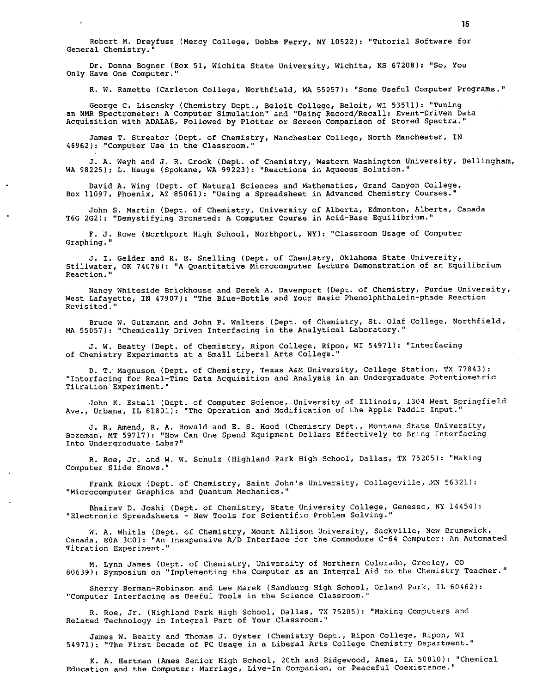Robert M. Dreyfuss (Mercy College, Dobbs Ferry, NY 10522): "Tutorial Software for General Chemistry.

Dr. Donna Bogner (Box 51, Wichita State University, Wichita, KS 67208): "So, You Only Have One Computer."

R. W. Ramette (Carleton College, Northfield, MA 55057): "Some Useful Computer Programs."

George C. Lisensky (Chemistry Dept., Beloit College, Beloit, WI 53511): "Tuning an NMR Spectrometer: A Computer Simulation" and "Using Record/Recall: Event-Driven Data Acquisition with ADALAB, Followed by Plotter or Screen Comparison of Stored Spectra."

James T. Streator (Dept. of Chemistry, Manchester College, North Manchester, IN 46962): "Computer Use in the Classroom."

J. A. Weyh and J. R. Crook (Dept. of Chemistry, Western Washington University, Bellingham, WA 98225); L. Hauge (Spokane, WA 99223): 11Reactions in Aqueous Solution."

David A. Wing (Dept. of Natural Sciences and Mathematics, Grand Canyon College, Box 11097, Phoenix, AZ 85061): <sup>11</sup> Using a Spreadsheet *in* Advanced Chemistry Courses."

John S. Martin (Dept. of Chemistry, University of Alberta, Edmonton, Alberta, Canada T6G 2G2): "Demystifying Bronsted: A Computer Course in Acid-Base Equilibrium. <sup>11</sup>

F. J. Rowe (Northport High School, Northport, NY): "Classroom Usage of Computer Graphing."

J. I. Gelder and R. E. Snelling (Dept. of Chemistry, Oklahoma State University, Stillwater, OK 74078): "A Quantitative Microcomputer Lecture Demonstration of an Equilibrium Reaction."

Nancy Whiteside Brickhouse and Derek A. Davenport (Dept. of Chemistry, Purdue University, West Lafayette, IN 47907): "The Blue-Bottle and Your Basic Phenolphthalein-phade Reaction Revisited."

Bruce w. Gutzmann and John P. Walters (Dept. of Chemistry, St. Olaf College, Northfield, MA 55057): "Chemically Driven Interfacing in the Analytical Laboratory."

J. w. Beatty (Dept. of Chemistry, Ripon College, Ripon, WI 54971): "Interfacing of Chemistry Experiments at a Small Liberal Arts College."

D. T.· Magnuson (Dept. of Chemistry, Texas A&M University, College Station, TX 77843): "Interfacing for Real-Time Data Acquisition and Analysis *in* an Undergraduate Potentiometric Titration Experiment."

John K. Estell (Dept. of Computer Science, University of Illinois, 1304 West Springfield Ave., Urbana, IL 61801): "The Operation and Modification of the Apple Paddle Input."

J. R. Amend, R. A. Howald and E. s. Hood (Chemistry Dept., Montana State University, Bozeman, MT 59717): "How Can One Spend Equipment Dollars Effectively to Bring Interfacing Into Undergraduate Labs?"

R. Roe, Jr. and w. w. Schulz (Highland Park High School, Dallas, TX 75205): "Making Computer Slide Shows."

Frank Rioux (Dept. of Chemistry, Saint John's University, Collegeville, .MN 56321): "Microcomputer Graphics and Quantum Mechanics."

Bhairav D. Joshi (Dept. of Chemistry, State University College, Geneseo, NY 14454): "Electronic Spreadsheets - New Tools for Scientific Problem Solving."

W. A. Whitla (Dept. of Chemistry, Mount Allison University, Sackville, New Brunswick, Canada, EOA 3CO): "An Inexpensive A/D Interface for the Conunodore C-64 Computer: An Automated Titration Experiment."

M. Lynn James (Dept. of Chemistry, University of Northern Colorado, Greeley, CO 80639): Symposium on "Implementing the Computer as an Integral Aid to the Chemistry Teacher."

Sherry Berman-Robinson and Lee Marek (Sandburg High School, Orland Park, IL 60462): "Computer Interfacing as Useful Tools in the Science Classroom."

R. Roe, Jr. (Highland Park High School, Dallas, TX 75205): "Making Computers and Related Technology in Integral Part of Your Classroom."

James w. Beatty and Thomas J. Oyster (Chemistry Dept., Ripon College, Ripon, WI 54971): "The First Decade of PC Usage in a Liberal Arts College Chemistry Department."

K. A. Hartman (Ames Senior High School, 20th and Ridgewood, Ames, IA 50010): "Chemical Education and the Computer: Marriage, Live-In Companion, or Peaceful Coexistence."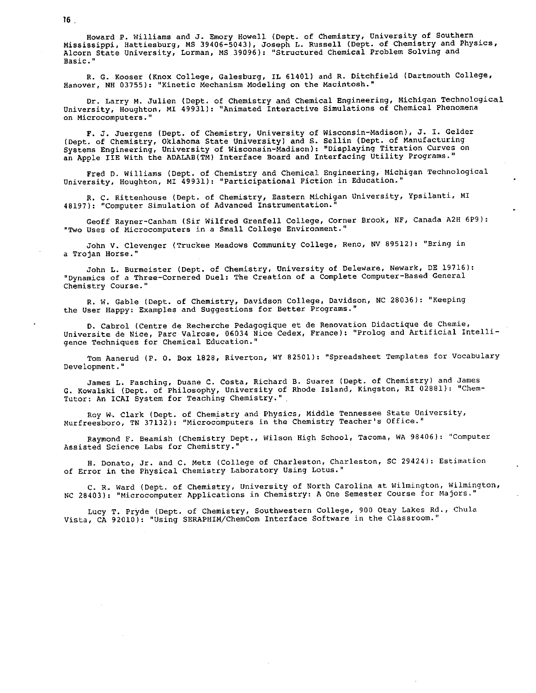Howard P. Williams and J. Emory Howell (Dept. of Chemistry, University of Southern Mississippi, Hattiesburg, MS 39406-5043), Joseph L. Russell (Dept. of Chemistry and Physics, Alcorn State University, Lorman, MS 39096): "Structured Chemical Problem Solving and Basic."

R. G. Kooser {Knox College, Galesburg, IL 61401) and R. Ditchfield (Dartmouth College, Hanover, NH 03755): "Kinetic Mechanism Modeling on the Macintosh."

Dr. Larry M. Julien (Dept. of Chemistry and Chemical Engineering, Michigan Technological University, Houghton, MI 49931): "Animated Interactive Simulations of Chemical Phenomena on Microcomputers."

F. J. Juergens (Dept. of Chemistry, University of Wisconsin-Madison), J. I. Gelder (Dept. of Chemistry, Oklahoma State University) and S. Sellin (Dept. of Manufacturing Systems Engineering, University of Wisconsin-Madison): "Displaying Titration Curves on an Apple IIE With the ADALAB(TM) Interface Board and Interfacing Utility Programs."

Fred D. Williams (Dept. of Chemistry and Chemical Engineering, Michigan Technological University, Houghton, MI 49931): "Participational Fiction in Education."

R. C. Rittenhouse (Dept. of Chemistry, Eastern Michigan University, Ypsilanti, MI 48197): "Computer Simulation of Advanced Instrumentation."

Geoff Rayner-Canham (Sir Wilfred Grenfell College, Corner Brook, NF, Canada A2H 6P9): "Two Uses of Microcomputers in a Small College Environment."

John V. Clevenger (Truckee Meadows Community College, Reno, NV 89512): "Bring in a Trojan Horse."

John L. Burmeister {Dept. of Chemistry, University of Deleware, Newark, DE 19716): "Dynamics of a Three-Cornered Duel: The Creation of a Complete Computer-Based General Chemistry Course."

R. W. Gable (Dept. of Chemistry, Davidson College, Davidson, NC 28036): "Keeping the User Happy: Examples and Suggestions for Better Programs."

D. Cabral (Centre de Recherche Pedagogique et de Renovation Didactique de Chemie, Universite de Nice, Parc Valrose, 06034 Nice Cedex, France): "Prolog and Artificial Intelligence Techniques for Chemical Education."

Tom Aanerud (P. 0. Box 1828, Riverton, WY 82501): "Spreadsheet Templates for Vocabulary Development."

James L. Fasching, Duane C. Costa, Richard B. Suarez (Dept. of Chemistry) and James G. Kowalski (Dept. of Philosophy, University of Rhode Island, Kingston, RI 02881): "Chem-Tutor: An ICAI System for Teaching Chemistry."

Roy W·. Clark (Dept. of Chemistry and Physics, Middle Tennessee State University, Murfreesboro, TN 37132): "Microcomputers in the Chemistry Teacher's Office."

Raymond F. Beamish (Chemistry Dept., Wilson High School, Tacoma, WA 98406): "Computer Assisted Science Labs for Chemistry."

H. Donato, Jr. and C. Metz (College of Charleston, Charleston, SC 29424): Estimation of Error in the Physical Chemistry Laboratory Using Lotus."

c. R. Ward (Dept. of Chemistry, University of North Carolina at Wilmington, Wilmington, NC 28403): "Microcomputer Applications in Chemistry: A One Semester Course for Majors."

Lucy T. PrYde (Dept. of Chemistry, Southwestern College, 900 Otay Lakes Rd., Chula Vista, CA 92010): "Using SERAPHIM/ChemCom Interface Software in the Classroom."

16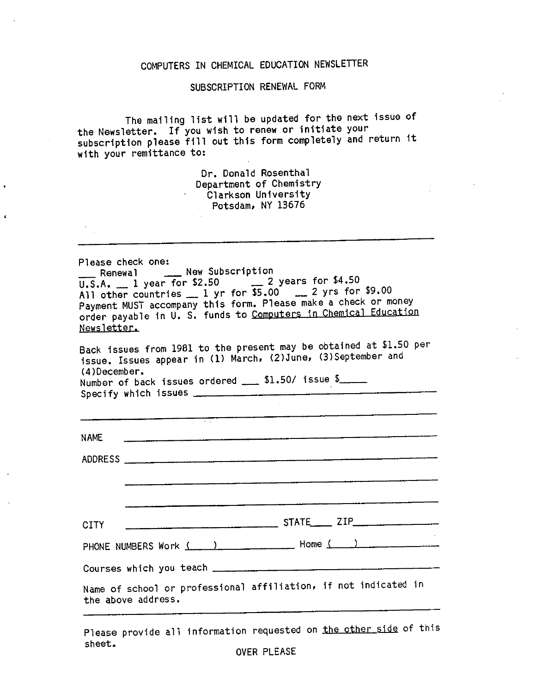#### COMPUTERS IN CHEMICAL EDUCATION NEWSLETTER

### SUBSCRIPTION RENEWAL FORM

The mailing list will be updated for the next issue of the Newsletter. If you wish to renew or initiate your subscription please fill out this form completely and return it with your remittance to:

> Dr. Donald Rosenthal Department of Chemistry Clarkson University Potsdam, NY 13676

Please check one: \_ Renewal \_\_\_\_ New Subscription  $\overline{U.S.A.}$  1 year for \$2.50  $\overline{C}$  years for \$4.50 All other countries  $\frac{1}{2}$  yr for  $\frac{1}{2}$ , 00  $\frac{1}{2}$  yrs for \$9.00 Payment MUST accompany this form. Please make a check or money order payable in U. S. funds to Computers jn Chemical Education Newsletter.

Back issues from 1981 to the present may be obtained at \$1.50 per issue. Issues appear in (1) March, (2)June, (3)September and (4 )December. Number of back issues ordered  $\_\_\_\$  \$1.50/ issue \$ Specify which issues --------------------

| <b>CITY</b>                                                                           | $STATE$ $ZIP$                   |  |  |  |  |  |
|---------------------------------------------------------------------------------------|---------------------------------|--|--|--|--|--|
|                                                                                       | PHONE NUMBERS Work ( ) Home ( ) |  |  |  |  |  |
|                                                                                       |                                 |  |  |  |  |  |
| Name of school or professional affiliation, if not indicated in<br>the above address. |                                 |  |  |  |  |  |

Please provide all information requested on the other side of this sheet.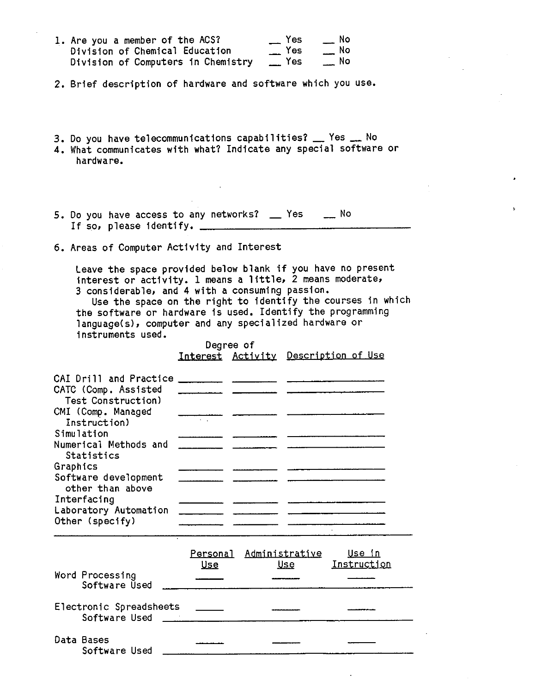| 1. Are you a member of the ACS?    | $\equiv$ Yes | $\equiv$ No |
|------------------------------------|--------------|-------------|
| Division of Chemical Education     | $\equiv$ Yes | $\equiv$ No |
| Division of Computers in Chemistry | $\equiv$ Yes | $\equiv$ No |

- 2. Brief description of hardware and software which you use.
- 3. Do you have telecommunications capabilities? \_\_ Yes \_\_ No 4. What communicates with what? Indicate any special software or hardware.
- 5. Do you have access to any networks? \_ Yes \_ No If so, p 1 ease identify.
- 6. Areas of Computer Activity and Interest

Leave the space provided below blank if you have no presen<sup>t</sup> interest or activity. 1 means a little, 2 means moderate, <sup>3</sup>considerable, and 4 with a consuming passion.

Use the space on the right to identify the courses in which the software or hardware is used. Identify the programming language(s), computer and any specialized hardware or instruments used.

> Degree of Interest Activity Description of Use

| CAI Drill and Practice<br>CATC (Comp. Assisted           |  |  |
|----------------------------------------------------------|--|--|
| Test Construction)<br>CMI (Comp. Managed                 |  |  |
| Instruction)<br>Simulation                               |  |  |
| Numerical Methods and<br>Statistics                      |  |  |
| Graphics<br>Software development                         |  |  |
| other than above<br>Interfacing<br>Laboratory Automation |  |  |
| Other (specify)                                          |  |  |

|                                          | <u>Use</u> | Personal Administrative<br><u>Use</u> | <u>Use in</u><br>Instruction |
|------------------------------------------|------------|---------------------------------------|------------------------------|
| Word Processing<br>Software Used         |            |                                       |                              |
| Electronic Spreadsheets<br>Software Used |            |                                       |                              |
| Data Bases<br>Software Used              |            |                                       |                              |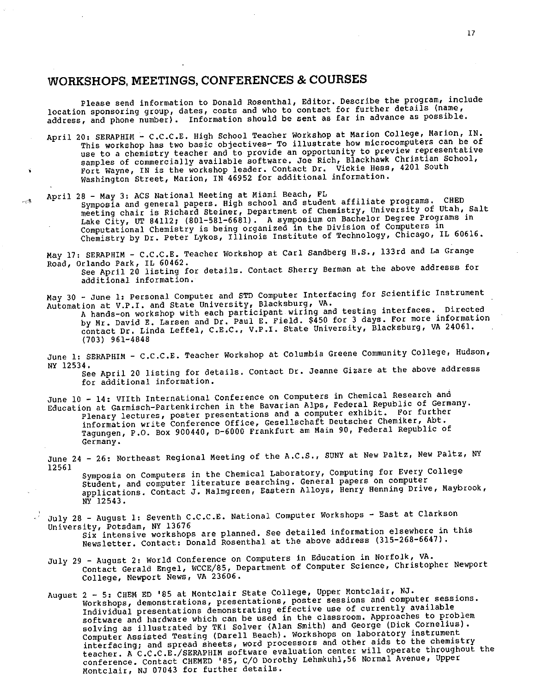## **WORKSHOPS, MEETINGS, CONFERENCES & COURSES**

Please send information to Donald Rosenthal, Editor. Describe the program, include location sponsoring group, dates, costs and who to contact for further details (name, address, and phone number). Information should be sent as far in advance as possible.

- April 20: SERAPHIM C.C.C.E. High School Teacher Workshop at Marion College, Marion, IN. This workshop has two basic objectives- To illustrate how microcomputers can be of use to a chemistry teacher and to provide an opportunity to preview representative samples of commercially available software. Joe Rich, Blackhawk Christian School, Fort Wayne, IN is the workshop leader. Contact Dr. Vickie Hess, 4201 South Washington Street, Marion, IN 46952 for additional information.
- April 28 May *3:* ACS National Meeting at Miami Beach, FL

人体

Symposia and general papers. High school and student affiliate programs. CHED symposia and general papers: might bonood and beasene with university of Utah, Salt meeting chair is kichard beciner, bethermore produce on Bachelor Degree Programs in Lake City, of 64112, (601 301 303). The Life of the Division of Computers in Computational Chemistry is being organized in the Division of Computers in Chemistry by Dr. Peter Lykos, Illinois Institute of Technology, Chicago, IL 60616.

May 17: SERAPHIM- c.c.c.E. Teacher workshop at Carl Sandberg H.S., 133rd and La Grange

Road, Orlando Park, IL 60462.<br>See April 20 listing for details. Contact Sherry Berman at the above addresss for **additional information.** 

May 30 - June 1: Personal Computer and STD Computer Interfacing for Scientific Instrument Automation at V.P.I. and State University, Blacksburg, VA.

<sup>A</sup>hands-on workshop with each participant wiring and testing interfaces. Directed by Mr. David E. Larsen and Dr. Paul E. Field. \$450 for 3 days. For more information contact Dr. Linda Leffel, c.E.C., v.P.I. state University, Blacksburg, VA 24061. (703) 961-4848

June 1: SERAPHIM - C.C.C.E. Teacher Workshop at Columbia Greene Community College, Hudson, NY 12534.

See April 20 listing for details. Contact Dr. Jeanne Gizare at the above addresss **for additional information.** 

June 10 - 14: VIIth International Conference on Computers in Chemical Research and Education at Garmisch-Partenkirchen in the Bavarian Alps, Federal Republic of Germany. Plenary lectures, poster presentations and a computer exhibit. For further information write Conference Office, Gesellschaft Deutscher Chemiker, Abt. Tagungen, P.O. Box 900440, D-6000 Frankfurt am Main 90, Federal Republic of **Germany.** 

June 24 - 26: Northeast Regional Meeting of the A.C.S., SUNY at New Paltz, New Paltz, NY 12561

Symposia on Computers in the Chemical Laboratory, Computing for Every College Student, and computer literature searching. General papers on computer applications. Contact J. Malmgreen, Eastern Alloys, Henry Henning Drive, Maybrook, NY 12543.

- July 29 -August 2: world Conference on Computers in Education in Norfolk, VA. Contact Gerald Engel, WCCE/85, Department of Computer Science, Christopher Newport College, Newport News, VA 23606.
- August 2 *5:* CHEM ED '85 at Montclair State College, Upper Montclair, NJ. **Workshops, demonstrations, presentations, poster sessions and computer sessions.**  Individual presentations demonstrating effective use of currently available software and hardware which can be used in the classroom. Approaches to problem sortware and hardware which can be about in Smith) and George (Dick Cornelius).<br>solving as illustrated by TK! Solver (Alan Smith) and George (Dick Cornelius). Computer Assisted Testing (Darell Beach) • Workshops on laboratory instrument **interfacing; and spread sheets, word processors and other aids to the chemistry**  teacher. A c.c.c.E./SERAPHIM software evaluation center will operate throughout the conference. Contact CHEMED '85, C/O Dorothy Lehmkuhl,56 Normal Avenue, Upper Montclair, NJ 07043 for further details.

July 28 - August 1: Seventh C.C.C.E. National Computer Workshops - East at Clarkson University, Potsdam, NY <sup>13676</sup> Six intensive workshops are planned. See detailed information elsewhere in this Newsletter. Contact: Donald Rosenthal at the above address (315-268-6647).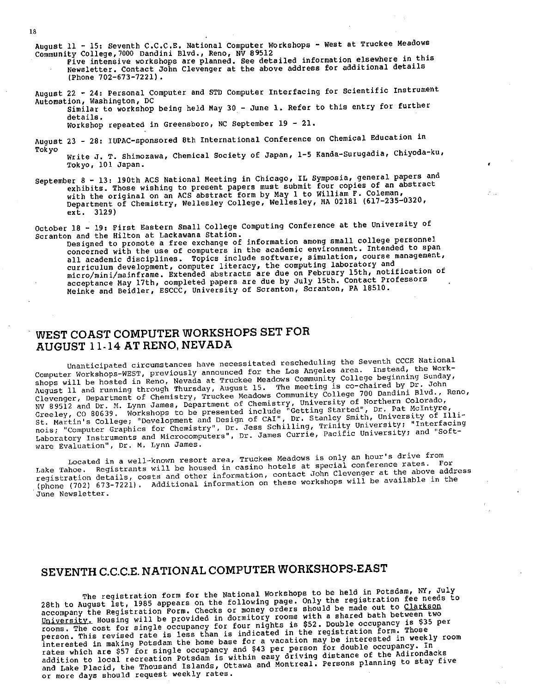August 11 - 15: Seventh C.C.C.E. National Computer Workshops - West at Truckee Meadows

Community College, 7000 Dandini Blvd., Reno NV <sup>89512</sup> Five intensive workshops are planned. see detailed information elsewhere in this Newsletter. Contact John Clevenger at the above address for additional details (Phone 702-673-7221) •

August 22 - 24: Personal Computer and STD Computer Interfacing for Scientific Instrument Automation, Washington, DC Similar to workshop being held May 30 - June 1. Refer to this entry for further

details. Workshop repeated in Greensboro, NC September 19 - 21.

August 23 - 28: IUPAC-sponsored 8th International Conference on Chemical Education in Tokyo

Write J. T. Shimozawa, Chemical Society of Japan, 1-5 Kanda-Surugadia, Chiyoda-ku, Tokyo, 101 Japan.

September 8 - 13: 190th ACS National Meeting in Chicago, IL Symposia, general papers and exhibits. Those wishing to present papers must submit four copies of an abstract with the original on an ACS abstract form by May 1 to William F. Coleman, Department of Chemistry, Wellesley College, Wellesley, MA 02181 (617-235-0320, ext. 3129)

October 18 - 19: First Eastern Small College Computing Conference at the University of Scranton and the Hilton at Lackawana Station.

n and the Hilton at Backawana Beation:<br>Designed to promote a free exchange of information among small college personnel<br>concerned with the use of computers in the academic environment. Intended to span concerned with the use of compared in die software, simulation, course management, curriculum development, computer literacy, the computing laboratory and curriculum development, computer ficeracy, and example on February 15th, notification of acceptance May 17th, completed papers are due by July 15th. Contact Professors Meinke and Beidler, ESCCC, University of Scranton, Scranton, PA 18510.

### WEST COAST COMPUTER WORKSHOPS SET FOR AUGUST ll-14ATRENO,NEVADA

Unanticipated circumstances have necessitated rescheduling the Seventh CCCE National Computer Workshops-WEST, previously announced for the Los Angeles area. Instead, the Workshops will be hosted in Reno, Nevada at Truckee Meadows Community College beginning Sunday, shops will be nosted in Reno, wevaud at fluckee headene meeting is co-chaired by Dr. John<br>August 11 and running through Thursday, August 15... The meeting is co-chaired by Dr. John Clevenger, Department of Chemistry, Truckee Meadows Community College 700 Dandini Blvd., Reno, NV 89512 and Dr. M. Lynn James, Department of Chemistry, University of Northern Colorado, NV 89512 and Dr. M. Lynn James, Department of Chemistry, Getting Started", Dr. Pat McIntyre,<br>Greeley, CO 80639. Workshops to be presented include "Getting Started", Dr. Pat McIntyre, St. Martin's College; "Development and Design of CAI", Dr. Stanley Smith, University of Illinois; "Computer Graphics for Chemistry", Dr. Jess Schilling, Trinity University; "Interfacing Laboratory Instruments and Microcomputers", Dr. James Currie, Pacific University; and "Software Evaluation", Dr. M. Lynn James.

Located in a well-known resort area, Truckee Meadows is only an hour's drive from Lake Tahoe. Registrants will be housed in casino hotels at special conference rates. For registration details, costs and other information, contact John Clevenger at the above address (phone (702) 673-7221) . Additional information on these workshops will be available in the June Newsletter.

## SEVENTH C.C.C.E. NATIONAL COMPUTER WORKSHOPS-EAST

The registration form for the National workshops to be held in Potsdam, NY, July The registration form for the Mational Mormon Conty the registration fee needs to<br>28th to August 1st, 1985 appears on the following page. should be made out to Clarkson 28th to August Ist, 1965 appears on the forfolding pagers should be made out to Clarkson<br>accompany the Registration Form. Checks or money orders with a shared bath between two accompany the Registration Form: Checks of money rooms with a shared bath between two<br>University, Housing will be provided in dormitory rooms with a shared bath between two rooms. The cost for single occupancy for four nights is \$52. Double occupancy is \$35 per rooms. The cost for single occupancy for four magnet in the registration form. Those<br>person. This revised rate is less than is indicated in the registration form. Those interested in making Potsdam the home base for a vacation may be interested in weekly room rates which are \$57 for single occupancy and \$43 per person for double occupancy. In rates which are \$57 for single occupancy and \$45 for Foreing distance of the Adirondacks<br>addition to local recreation Potsdam is within easy driving distance of the Adirondacks addition to local recreation Fotsuam is within easy virrings for<br>and Lake Placid, the Thousand Islands, Ottawa and Montreal. Persons planning to stay five or more days should request weekly rates.

18